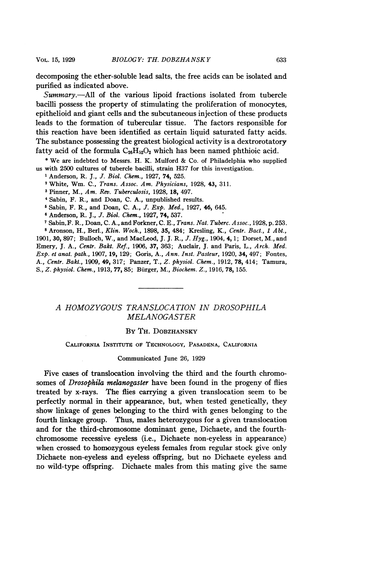decomposing the ether-soluble lead salts, the free acids can be isolated and purified as indicated above.

 $Summary. - All of the various lipoid fractions isolated from tubercle$ bacilli possess the property of stimulating the proliferation of monocytes, epithelioid and giant cells and the subcutaneous injection of these products leads to the formation of tubercular tissue. The factors responsible for this reaction have been identified as certain liquid saturated fatty acids. The substance possessing the greatest biological activity is a dextrorotatory fatty acid of the formula  $C_{26}H_{52}O_2$  which has been named phthioic acid.

\* We are indebted to Messrs. H. K. Mulford & Co. of Philadelphia who supplied us with 2500 cultures of tubercle bacilli, strain H37 for this investigation.

<sup>1</sup> Anderson, R. J., *J. Biol. Chem.*, 1927, 74, 525.

<sup>2</sup> White, Wm. C., Trans. Assoc. Am. Physicians, 1928, 43, 311.

<sup>3</sup> Pinner, M., Am. Rev. Tuberculosis, 1928, 18, 497.

4Sabin, F. R., and Doan, C. A., unpublished results.

<sup>5</sup> Sabin, F. R., and Doan, C. A., J. Exp. Med., 1927, 46, 645.

<sup>6</sup> Anderson, R. J., J. Biol. Chem., 1927, 74, 537.

7Sabin,F. R., Doan, C. A., and Forkner, C. E., Trans. Nat. Tuberc. Assoc., 1928, p. 253. <sup>8</sup> Aronson, H., Berl., Klin. Woch., 1898, 35, 484; Kresling, K., Centr. Bact., 1 Abt., 1901, 30, 897; Bulloch, W., and MacLeod, J. J. R., J. Hyg., 1904, 4, 1; Dorset, M., and Emery, J. A., Centr. Bakt. Ref., 1906, 37, 363; Auclair, J. and Paris, L., Arch. Med. Exp. et anat. path., 1907, 19, 129; Goris, A., Ann. Inst. Pasteur, 1920, 34, 497; Fontes, A., Centr. Bakt., 1909, 49, 317; Panzer, T., Z. physiol. Chem., 1912, 78, 414; Tamura, S., Z. physiol. Chem., 1913, 77, 85; Burger, M., Biochem. Z., 1916, 78, 155.

# A HOMOZYGOUS TRANSLOCATION IN DROSOPHILA MELANOGASTER

## BY TH. DOBZHANSKY

### CALIFORNIA INSTITUTE OF TECHNOLOGY, PASADENA, CALIFORNIA

#### Communicated June 26, 1929

Five cases of translocation involving the third and the fourth chromosomes of *Drosophila melanogaster* have been found in the progeny of flies treated by x-rays. The flies carrying a given translocation seem to be perfectly normal in their appearance, but, when tested genetically, they show linkage of genes belonging to the third with genes belonging to the fourth linkage group. Thus, males heterozygous for a given translocation and for the third-chromosome dominant gene, Dichaete, and the fourthchromosome recessive eyeless (i.e., Dichaete non-eyeless in appearance) when crossed to homozygous eyeless females from regular stock give only Dichaete non-eyeless and eyeless offspring, but no Dichaete eyeless and no wild-type offspring. Dichaete males from this mating give the same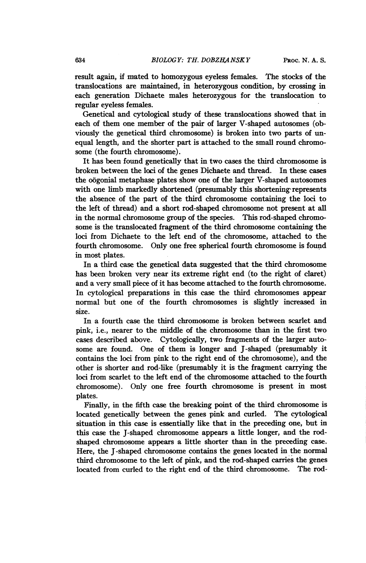result again, if mated to homozygous eyeless females. The stocks of the translocations are maintained, in heterozygous condition, by crossing in each generation Dichaete males heterozygous for the translocation to regular eyeless females.

Genetical and cytological study of these translocations showed that in each of them one member of the pair of larger V-shaped autosomes (obviously the genetical third chromosome) is broken into two parts of unequal length, and the shorter part is attached to the small round chromosome (the fourth chromosome).

It has been found genetically that in two cases the third chromosome is broken between the loci of the genes Dichaete and thread. In these cases the oogonial metaphase plates show one of the larger V-shaped autosomes with one limb markedly shortened (presumably this shortening represents the absence of the part of the third chromosome containing the loci to the left of thread) and a short rod-shaped chromosome not present at all in the normal chromosome group of the species. This rod-shaped chromosome is the translocated fragment of the third chromosome containing the loci from Dichaete to the left end of the chromosome, attached to the fourth chromosome. Only one free spherical fourth chromosome is found in most plates.

In a third case the genetical data suggested that the third chromosome has been broken very near its extreme right end (to the right of claret) and a very small piece of it has become attached to the fourth chromosome. In cytological preparations in this case the third chromosomes appear normal but one of the fourth chromosomes is slightly increased in size.

In a fourth case the third chromosome is broken between scarlet and pink, i.e., nearer to the middle of the chromosome than in the first two cases described above. Cytologically, two fragments of the larger autosome are found. One of them is longer and J-shaped (presumably it contains the loci from pink to the right end of the chromosome), and the other is shorter and rod-like (presumably it is the fragment carrying the loci from scarlet to the left end of the chromosome attached to the fourth chromosome). Only one free fourth chromosome is present in most plates.

Finally, in the fifth case the breaking point of the third chromosome is located genetically between the genes pink and curled. The cytological situation in this case is essentially like that in the preceding one, but in this case the J-shaped chromosome appears a little longer, and the rodshaped chromosome appears a little shorter than in the preceding case. Here, the J -shaped chromosome contains the genes located in the normal third chromosome to the left of pink, and the rod-shaped carries the genes located from curled to the right end of the third chromosome. The rod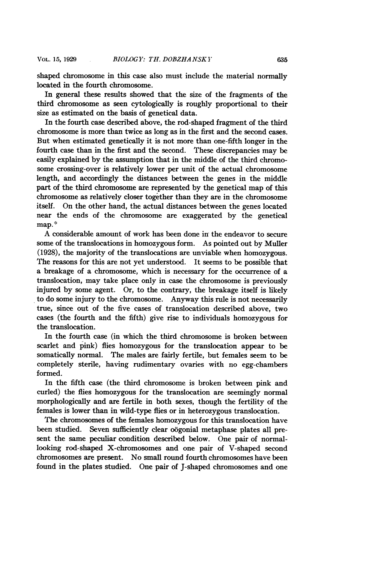shaped chromosome in this case also must include the material normally located in the fourth chromosome.

In general these results showed that the size of the fragments of the third chromosome as seen cytologically is roughly proportional to their size as estimated on the basis of genetical data.

In the fourth case described above, the rod-shaped fragment of the third chromosome is more than twice as long as in the first and the second cases. But when estimated genetically it is not more than one-fifth longer in the fourth case than in the first and the second. These discrepancies may be easily explained by the assumption that in the middle of the third chromosome crossing-over is relatively lower per unit of the actual chromosome length, and accordingly the distances between the genes in the middle part of the third chromosome are represented by the genetical map of this chromosome as relatively closer together than they are in the chromosome itself. On the other hand, the actual distances between the genes located near the ends of the chromosome are exaggerated by the genetical map.\*

A considerable amount of work has been done in the endeavor to secure some of the translocations in homozygous form. As pointed out by Muller (1928), the majority of the translocations are unviable when homozygous. The reasons for this are not yet understood. It seems to be possible that a breakage of a chromosome, which is necessary for the occurrence of a translocation, may take place only in case the chromosome is previously injured by some agent. Or, to the contrary, the breakage itself is likely to do some injury to the chromosome. Anyway this rule is not necessarily true, since out of the five cases of translocation described above, two cases (the fourth and the fifth) give rise to individuals homozygous for the translocation.

In the fourth case (in which the third chromosome is broken between scarlet and pink) flies homozygous for the translocation appear to be somatically normal. The males are fairly fertile, but females seem to be completely sterile, having rudimentary ovaries with no egg-chambers formed.

In the fifth case (the third chromosome is broken between pink and curled) the flies homozygous for the translocation are seemingly normal morphologically and are fertile in both sexes, though the fertility of the females is lower than in wild-type flies or in heterozygous translocation.

The chromosomes of the females homozygous for this translocation have been studied. Seven sufficiently clear oogonial metaphase plates all present the same peculiar condition described below. One pair of normallooking rod-shaped X-chromosomes and one pair of V-shaped second chromosomes are present. No small round fourth chromosomes have been found in the plates studied. One pair of J-shaped chromosomes and one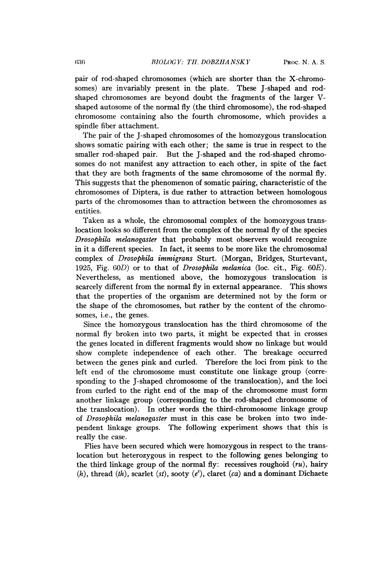pair of rod-shaped chromosomes (which are shorter than the X-chromosomes) are invariably present in the plate. These J-shaped and rodshaped chromosomes are beyond doubt the fragments of the larger Vshaped autosome of the normal fly (the third chromosome), the rod-shaped chromosome containing also the fourth chromosome, which provides a spindle fiber attachment.

The pair of the J-shaped chromosomes of the homozygous translocation shows somatic pairing with each other; the same is true in respect to the smaller rod-shaped pair. But the J-shaped and the rod-shaped chromosomes do not manifest any attraction to each other, in spite of the fact that they are both fragments of the same chromosome of the normal fly. This suggests that the phenomenon of somatic pairing, characteristic of the chromosomes of Diptera, is due rather to attraction between homologous parts of the chromosomes than to attraction between the chromosomes as entities.

Taken as a whole, the chromosomal complex of the homozygous translocation looks so different from the complex of the normal fly of the species Drosophila melanogaster that probably most observers would recognize in it a different species. In fact, it seems to be more like the chromosomal complex of Drosophila immigrans Sturt. (Morgan, Bridges, Sturtevant, 1925, Fig. 60D) or to that of Drosophila melanica (loc. cit., Fig. 60E). Nevertheless, as mentioned above, the homozygous translocation is scarcely different from the normal fly in external appearance. This shows that the properties of the organism are determined not by the form or the shape of the chromosomes, but rather by the content of the chromosomes, i.e., the genes.

Since the homozygous translocation has the third chromosome of the normal fly broken into two parts, it might be expected that in crosses the genes located in different fragments would show no linkage but would show complete independence of each other. The breakage occurred between the genes pink and curled. Therefore the loci from pink to the left end of the chromosome must constitute one linkage group (corresponding to the J-shaped chromosome of the translocation), and the loci from curled to the right end of the map of the chromosome must form another linkage group (corresponding to the rod-shaped chromosome of the translocation). In other words the third-chromosome linkage group of Drosophila melanogaster must in this case be broken into two independent linkage groups. The following experiment shows that this is really the case.

Flies have been secured which were homozygous in respect to the translocation but heterozygous in respect to the following genes belonging to the third linkage group of the normal fly: recessives roughoid  $(ru)$ , hairy (h), thread (th), scarlet (st), sooty (e<sup>s</sup>), claret (ca) and a dominant Dichaete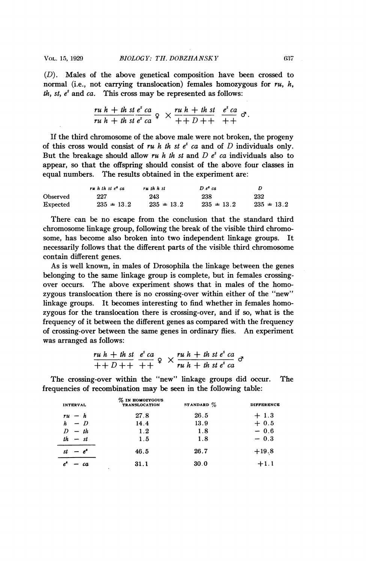BIOLOGY: TH. DOBZHANSKY 637 (D). Males of the above genetical composition have been crossed to normal (i.e., not carrying translocation) females homozygous for  $ru$ , h, th, st,  $e^s$  and ca. This cross may be represented as follows:

$$
\frac{ru h + th st e^s ca}{ru h + th st e^s ca} \varphi \times \frac{ru h + th st}{++D++} \frac{e^s ca}{++} \sigma.
$$

If the third chromosome of the above male were not broken, the progeny of this cross would consist of ru h th st  $e^s$  ca and of D individuals only. But the breakage should allow ru h th st and  $D e<sup>s</sup>$  ca individuals also to appear, so that the offspring should consist of the above four classes in equal numbers. The results obtained in the experiment are:

|          | ruh th st $e^s$ ca | ruth h st      | $D.e^{\bullet}$ ca | D              |
|----------|--------------------|----------------|--------------------|----------------|
| Observed | 227                | 243            | 238                | 232            |
| Expected | $235 \pm 13.2$     | $235 \pm 13.2$ | $235 \pm 13.2$     | $235 \pm 13.2$ |

There can be no escape from the conclusion that the standard third chromosome linkage group, following the break of the visible third chromosome, has become also broken into two independent linkage groups. It necessarily follows that the different parts of the visible third chromosome contain different genes.

As is well known, in males of Drosophila the linkage between the genes belonging to the same linkage group is complete, but in females crossingover occurs. The above experiment shows that in males of the homozygous translocation there is no crossing-over within either of the "new" linkage groups. It becomes interesting to find whether in females homozygous for the translocation there is crossing-over, and if so, what is the frequency of it between the different genes as compared with the frequency of crossing-over between the same genes in ordinary flies. An experiment was arranged as follows:

$$
\frac{ru\ h + th\ st}{++D++} \frac{e^s ca}{++P} \circ \times \frac{ru\ h + th\ st\ e^s\ ca}{ru\ h + th\ st\ e^s\ ca} \circ
$$

The crossing-over within the "new" linkage groups did occur. The frequencies of recombination may be seen in the following table:

| <b>INTERVAL</b> | $\%$ IN HOMOZYGOUS<br>TRANSLOCATION | STANDARD $\%$ | <b>DIFFERENCE</b> |
|-----------------|-------------------------------------|---------------|-------------------|
| $ru - h$        | 27.8                                | 26.5          | $+1.3$            |
| $h - D$         | 14.4                                | 13.9          | $+0.5$            |
| $D - th$        | 1.2                                 | 1.8           | $-0.6$            |
| th<br>$- st$    | 1.5                                 | 1.8           | $-0.3$            |
| م -<br>st       | 46.5                                | 26.7          | $+19.8$           |
| ca              | 31.1<br>٠                           | 30.0          | $+1.1$            |